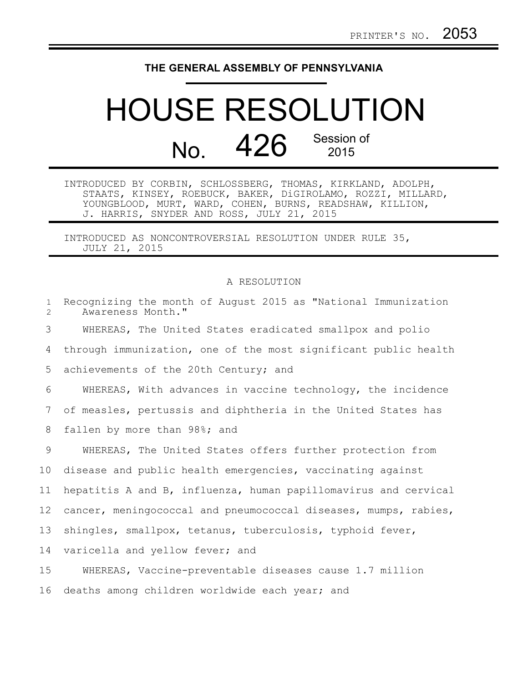## **THE GENERAL ASSEMBLY OF PENNSYLVANIA**

## HOUSE RESOLUTION No. 426 Session of

INTRODUCED BY CORBIN, SCHLOSSBERG, THOMAS, KIRKLAND, ADOLPH, STAATS, KINSEY, ROEBUCK, BAKER, DiGIROLAMO, ROZZI, MILLARD, YOUNGBLOOD, MURT, WARD, COHEN, BURNS, READSHAW, KILLION, J. HARRIS, SNYDER AND ROSS, JULY 21, 2015

INTRODUCED AS NONCONTROVERSIAL RESOLUTION UNDER RULE 35, JULY 21, 2015

## A RESOLUTION

| $\mathbf{1}$<br>$\overline{2}$ | Recognizing the month of August 2015 as "National Immunization<br>Awareness Month." |
|--------------------------------|-------------------------------------------------------------------------------------|
| 3                              | WHEREAS, The United States eradicated smallpox and polio                            |
| 4                              | through immunization, one of the most significant public health                     |
| 5                              | achievements of the 20th Century; and                                               |
| 6                              | WHEREAS, With advances in vaccine technology, the incidence                         |
| 7                              | of measles, pertussis and diphtheria in the United States has                       |
| 8                              | fallen by more than 98%; and                                                        |
| 9                              | WHEREAS, The United States offers further protection from                           |
| 10 <sub>o</sub>                | disease and public health emergencies, vaccinating against                          |
| 11                             | hepatitis A and B, influenza, human papillomavirus and cervical                     |
| 12                             | cancer, meningococcal and pneumococcal diseases, mumps, rabies,                     |
| 13                             | shingles, smallpox, tetanus, tuberculosis, typhoid fever,                           |
| 14                             | varicella and yellow fever; and                                                     |
| 15                             | WHEREAS, Vaccine-preventable diseases cause 1.7 million                             |
| 16                             | deaths among children worldwide each year; and                                      |